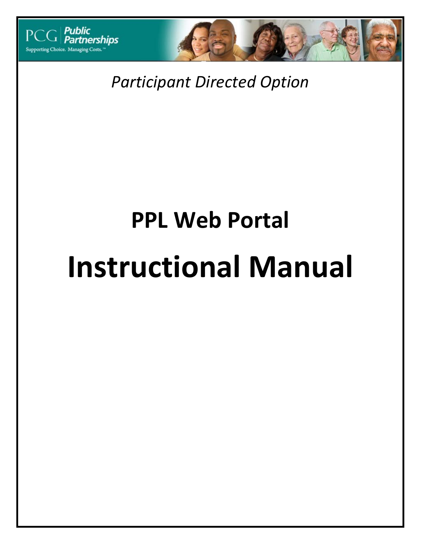



*Participant Directed Option*

# **PPL Web Portal Instructional Manual**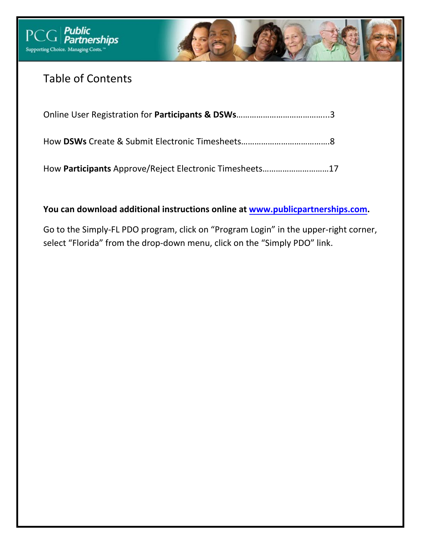



# Table of Contents

How **Participants** Approve/Reject Electronic Timesheets…………………………17

**You can download additional instructions online at www.publicpartnerships.com.** 

Go to the Simply‐FL PDO program, click on "Program Login" in the upper‐right corner, select "Florida" from the drop-down menu, click on the "Simply PDO" link.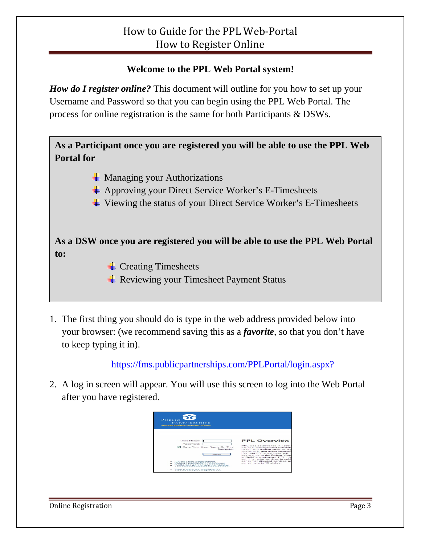#### **Welcome to the PPL Web Portal system!**

*How do I register online?* This document will outline for you how to set up your Username and Password so that you can begin using the PPL Web Portal. The process for online registration is the same for both Participants & DSWs.

**As a Participant once you are registered you will be able to use the PPL Web Portal for** 

- $\frac{1}{\sqrt{2}}$  Managing your Authorizations
- $\overline{\text{4}}$  Approving your Direct Service Worker's E-Timesheets
- $\overline{\text{4}}$  Viewing the status of your Direct Service Worker's E-Timesheets

**As a DSW once you are registered you will be able to use the PPL Web Portal to:** 

- $\overline{\phantom{a}}$  Creating Timesheets
- **Exercise Payment Status** Filter Payment Status
- 1. The first thing you should do is type in the web address provided below into your browser: (we recommend saving this as a *favorite*, so that you don't have to keep typing it in).

https://fms.publicpartnerships.com/PPLPortal/login.aspx?

2. A log in screen will appear. You will use this screen to log into the Web Portal after you have registered.

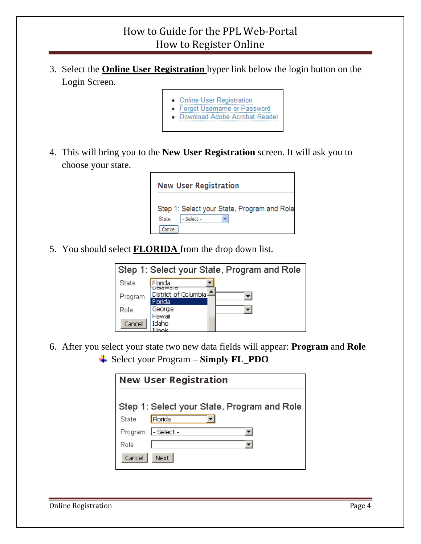- 3. Select the **Online User Registration** hyper link below the login button on the Login Screen.
	- **Online User Registration**
	- Forgot Username or Password
	- Download Adobe Acrobat Reader
- 4. This will bring you to the **New User Registration** screen. It will ask you to choose your state.



5. You should select **FLORIDA** from the drop down list.

| Step 1: Select your State, Program and Role |                                             |  |  |  |  |  |  |  |
|---------------------------------------------|---------------------------------------------|--|--|--|--|--|--|--|
| State                                       | Florida                                     |  |  |  |  |  |  |  |
| Program                                     | DGGWale<br>District of Columbia!<br>Florida |  |  |  |  |  |  |  |
| Role                                        | Georgia<br>Hawaii                           |  |  |  |  |  |  |  |
| Cancel                                      | Idaho<br>Illinoic                           |  |  |  |  |  |  |  |

6. After you select your state two new data fields will appear: **Program** and **Role** Select your Program – **Simply FL\_PDO**

| <b>New User Registration</b> |                                             |  |  |  |  |  |  |
|------------------------------|---------------------------------------------|--|--|--|--|--|--|
|                              | Step 1: Select your State, Program and Role |  |  |  |  |  |  |
| State                        | Florida                                     |  |  |  |  |  |  |
|                              | Program  - Select -                         |  |  |  |  |  |  |
| Role                         |                                             |  |  |  |  |  |  |
| Cancel                       | Next.                                       |  |  |  |  |  |  |

Online Registration **Page 4**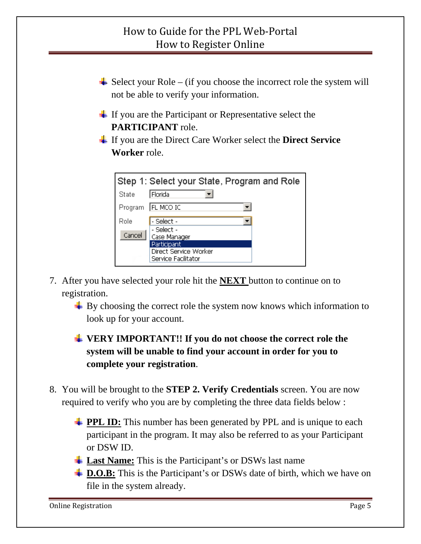- $\overline{\phantom{a}}$  Select your Role (if you choose the incorrect role the system will not be able to verify your information.
- $\pm$  If you are the Participant or Representative select the **PARTICIPANT** role.
- If you are the Direct Care Worker select the **Direct Service Worker** role.

|        | Step 1: Select your State, Program and Role |
|--------|---------------------------------------------|
| State  | Florida                                     |
|        | Program   FL MCO IC                         |
| Role   | - Select -                                  |
| Cancel | - Select -<br>Case Manager                  |
|        | Participant                                 |
|        | Direct Service Worker                       |
|        | Service Facilitator                         |

- 7. After you have selected your role hit the **NEXT** button to continue on to registration.
	- $\triangleq$  By choosing the correct role the system now knows which information to look up for your account.
	- **VERY IMPORTANT!! If you do not choose the correct role the system will be unable to find your account in order for you to complete your registration**.
- 8. You will be brought to the **STEP 2. Verify Credentials** screen. You are now required to verify who you are by completing the three data fields below :
	- **PPL ID:** This number has been generated by PPL and is unique to each participant in the program. It may also be referred to as your Participant or DSW ID.
	- **Last Name:** This is the Participant's or DSWs last name
	- **EXTER:** D.O.B: This is the Participant's or DSWs date of birth, which we have on file in the system already.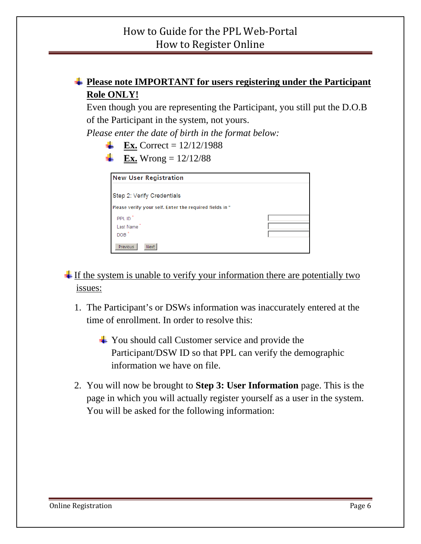#### **Please note IMPORTANT for users registering under the Participant Role ONLY!**

Even though you are representing the Participant, you still put the D.O.B of the Participant in the system, not yours.

*Please enter the date of birth in the format below:* 

- **Ex.** Correct =  $12/12/1988$
- **Ex.** Wrong =  $12/12/88$

| <b>New User Registration</b>                            |  |
|---------------------------------------------------------|--|
| Step 2: Verify Credentials                              |  |
| Please verify your self. Enter the required fields in * |  |
| PPL ID <sup>*</sup>                                     |  |
| Last Name                                               |  |
| $DOB^*$                                                 |  |
| Previous<br><b>Next</b>                                 |  |

 $\frac{1}{\sqrt{1 + \pi}}$  If the system is unable to verify your information there are potentially two issues:

- 1. The Participant's or DSWs information was inaccurately entered at the time of enrollment. In order to resolve this:
	- $\frac{1}{\sqrt{2}}$  You should call Customer service and provide the Participant/DSW ID so that PPL can verify the demographic information we have on file.
- 2. You will now be brought to **Step 3: User Information** page. This is the page in which you will actually register yourself as a user in the system. You will be asked for the following information: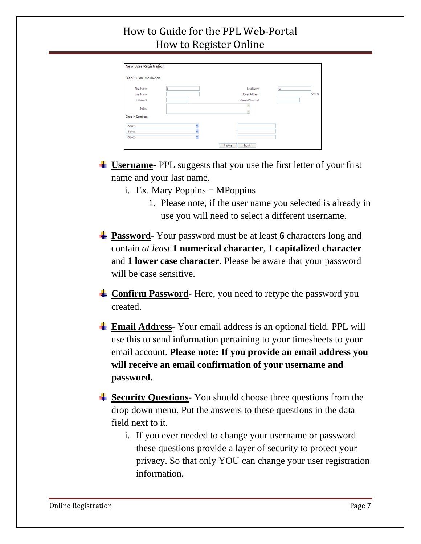## How to Guide for the PPL Web‐Portal How to Register Online

| <b>New User Registration</b> |   |                    |    |           |
|------------------------------|---|--------------------|----|-----------|
| Step3: User Information      |   |                    |    |           |
| First Name:                  |   | Last Name:         | Ly |           |
| User Name:                   |   | Email Address:     |    | *Optional |
| Password:                    |   | Confirm Password   |    |           |
| Notes:                       |   | $\sim$             |    |           |
| <b>Security Questions:</b>   |   |                    |    |           |
| - Select -                   | v |                    |    |           |
| - Select -                   |   |                    |    |           |
| - Select -                   |   |                    |    |           |
|                              |   | Submit<br>Previous |    |           |

- $\frac{1}{\sqrt{2}}$  Username PPL suggests that you use the first letter of your first name and your last name.
	- i. Ex. Mary Poppins  $=$  MPoppins
		- 1. Please note, if the user name you selected is already in use you will need to select a different username.
- **Password**-Your password must be at least **6** characters long and contain *at least* **1 numerical character**, **1 capitalized character** and **1 lower case character**. Please be aware that your password will be case sensitive.
- **Confirm Password** Here, you need to retype the password you created.
- **Email Address** Your email address is an optional field. PPL will use this to send information pertaining to your timesheets to your email account. **Please note: If you provide an email address you will receive an email confirmation of your username and password.**
- **Security Questions**-You should choose three questions from the drop down menu. Put the answers to these questions in the data field next to it.
	- i. If you ever needed to change your username or password these questions provide a layer of security to protect your privacy. So that only YOU can change your user registration information.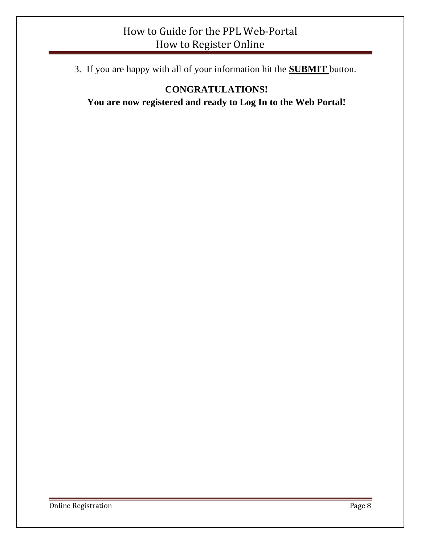### How to Guide for the PPL Web‐Portal How to Register Online

3. If you are happy with all of your information hit the **SUBMIT** button.

#### **CONGRATULATIONS! You are now registered and ready to Log In to the Web Portal!**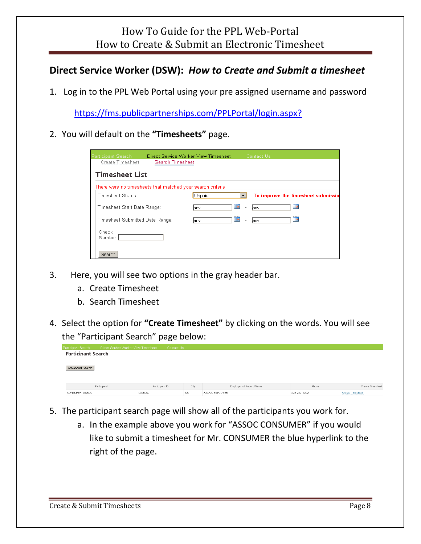#### **Direct Service Worker (DSW):** *How to Create and Submit a timesheet*

1. Log in to the PPL Web Portal using your pre assigned username and password

https://fms.publicpartnerships.com/PPLPortal/login.aspx?

2. You will default on the **"Timesheets"** page.

| <b>Participant Search</b>                                   | Direct Service Worker View Timesheet |        |                                       | Contact Us |                                    |
|-------------------------------------------------------------|--------------------------------------|--------|---------------------------------------|------------|------------------------------------|
| Create Timesheet                                            | Search Timesheet                     |        |                                       |            |                                    |
| <b>Timesheet List</b>                                       |                                      |        |                                       |            |                                    |
| There were no timesheets that matched your search criteria. |                                      |        |                                       |            |                                    |
| Timesheet Status:                                           |                                      | Unpaid |                                       |            | To improve the timesheet submissio |
| Timesheet Start Date Range:                                 |                                      | lany.  | <b>HH</b><br>$\overline{\phantom{a}}$ | lany.      | HH                                 |
| Timesheet Submitted Date Range:                             |                                      | jany.  | HH.<br>$\sim$                         | lany.      | <b>HH</b>                          |
| Check<br>Number                                             |                                      |        |                                       |            |                                    |
| Search                                                      |                                      |        |                                       |            |                                    |

- 3. Here, you will see two options in the gray header bar.
	- a. Create Timesheet
	- b. Search Timesheet
- 4. Select the option for **"Create Timesheet"** by clicking on the words. You will see the "Participant Search" page below:

|                    |                                      | __             |      |                         |              |                         |
|--------------------|--------------------------------------|----------------|------|-------------------------|--------------|-------------------------|
| Participant Search | Direct Service Worker View Timesheet | Contact Us     |      |                         |              |                         |
|                    | <b>Participant Search</b>            |                |      |                         |              |                         |
| Advanced Search    |                                      |                |      |                         |              |                         |
|                    | Participant                          | Participant ID | City | Employer of Record Name | Phone        | Create Timesheet        |
| CONSUMER, ASSOC    |                                      | C000060        | SS   | ASSOC EMPLOYER          | 222-222-2222 | <b>Create Timesheet</b> |

- 5. The participant search page will show all of the participants you work for.
	- a. In the example above you work for "ASSOC CONSUMER" if you would like to submit a timesheet for Mr. CONSUMER the blue hyperlink to the right of the page.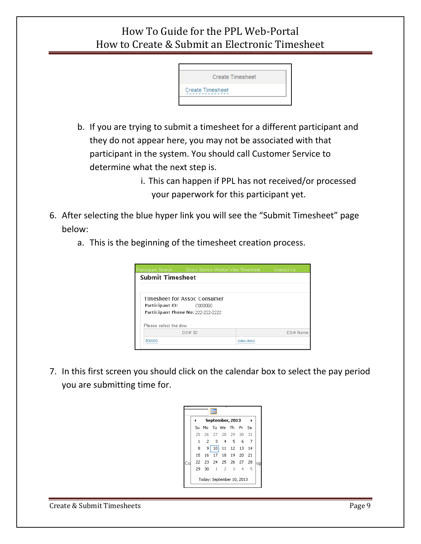

b. If you are trying to submit a timesheet for a different participant and they do not appear here, you may not be associated with that participant in the system. You should call Customer Service to determine what the next step is.

> i. This can happen if PPL has not received/or processed your paperwork for this participant yet.

- 6. After selecting the blue hyper link you will see the "Submit Timesheet" page below:
	- a. This is the beginning of the timesheet creation process.

|        |                                                                                | Contact Us                                                                                                 |
|--------|--------------------------------------------------------------------------------|------------------------------------------------------------------------------------------------------------|
|        |                                                                                |                                                                                                            |
|        |                                                                                |                                                                                                            |
|        |                                                                                |                                                                                                            |
|        |                                                                                |                                                                                                            |
|        |                                                                                |                                                                                                            |
| DSW ID |                                                                                | DSW Name                                                                                                   |
|        |                                                                                |                                                                                                            |
|        | <b>Submit Timesheet</b><br>Participant ID:<br>C000060<br>Please select the daw | Direct Service Worker View Timesheet<br>Timesheet for Assoc Consumer<br>Participant Phone No: 222-222-2222 |

7. In this first screen you should click on the calendar box to select the pay period you are submitting time for.

|    |              |    |                 | September, 2013           |                |   |    |     |
|----|--------------|----|-----------------|---------------------------|----------------|---|----|-----|
|    | Su           | Mo |                 | Tu We The Fri Sa          |                |   |    |     |
|    | 25           |    |                 | 26 27 28 29 30            |                |   | 31 |     |
|    | $\mathbf{1}$ | 2  | 3 <sup>1</sup>  |                           | 4 <sub>5</sub> | 6 | 7  |     |
|    | 8            | 9  | 10 <sup>1</sup> |                           | 11 12 13       |   | 14 |     |
|    | 15           | 16 | $17 -$          |                           | 18  19  20  21 |   |    |     |
| Cо |              |    |                 | 22 23 24 25 26 27 28      |                |   |    | hip |
|    | 29           | 30 |                 | $1 \quad 2$               | 3              | 4 | 5  |     |
|    |              |    |                 | Today: September 10, 2013 |                |   |    |     |

Create & Submit Timesheets **Page 9**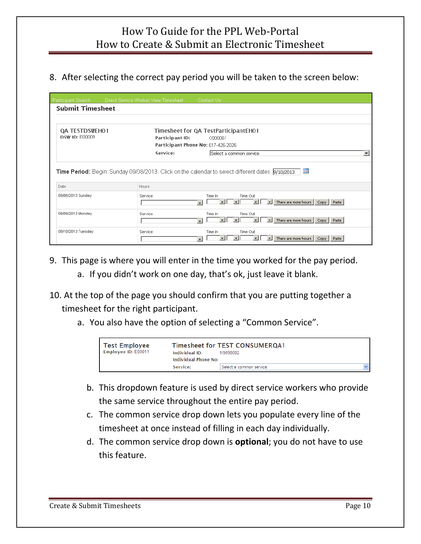#### 8. After selecting the correct pay period you will be taken to the screen below:

| Participant Search                      | Direct Service Worker View Timesheet | Contact Us                                                                                                                                                     |
|-----------------------------------------|--------------------------------------|----------------------------------------------------------------------------------------------------------------------------------------------------------------|
| <b>Submit Timesheet</b>                 |                                      |                                                                                                                                                                |
| QA TESTDSWEHO1<br><b>DSW ID: E00009</b> | Participant ID:                      | Timesheet for QA TestParticipantEH01<br>C000061<br>Participant Phone No: 617-426-2026                                                                          |
|                                         | Service:                             | Select a common service                                                                                                                                        |
| Date                                    | <b>Hours</b>                         | <b>HH</b><br><b>Time Period:</b> Begin: Sunday 09/08/2013. Click on the calendar to select different dates. <b>9/10/2013</b>                                   |
| 09/08/2013 Sunday                       | Service                              | Time Out<br>Time In<br>$\blacksquare$<br>There are more hours<br>$\vert \cdot \vert$<br>$\mathbf{r}$<br>$\mathbf{r}$<br>Copy Paste<br>$\overline{\phantom{a}}$ |
| 09/09/2013 Monday                       | Service                              | Time Out<br>Time In<br>$\mathbf{r}$<br>$\vert$<br>There are more hours<br>$\mathbf{r}$<br>$\mathbf{r}$<br>Paste<br>Copy  <br>$\overline{\phantom{a}}$          |
| 09/10/2013 Tuesday                      | Service                              | Time Out<br>Time In<br>There are more hours<br>Copy  <br>Paste<br>$\overline{\phantom{a}}$                                                                     |

- 9. This page is where you will enter in the time you worked for the pay period.
	- a. If you didn't work on one day, that's ok, just leave it blank.
- 10. At the top of the page you should confirm that you are putting together a timesheet for the right participant.
	- a. You also have the option of selecting a "Common Service".

| <b>Test Employee</b> | Individual ID:       | <b>Timesheet for TEST CONSUMEROA1</b> |  |
|----------------------|----------------------|---------------------------------------|--|
| Employee ID: E00011  | Individual Phone No: | N9098002                              |  |
|                      | Service:             | Select a common service               |  |

- b. This dropdown feature is used by direct service workers who provide the same service throughout the entire pay period.
- c. The common service drop down lets you populate every line of the timesheet at once instead of filling in each day individually.
- d. The common service drop down is **optional**; you do not have to use this feature.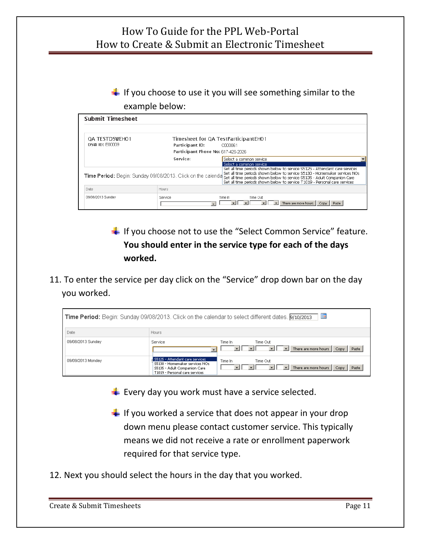$\frac{1}{2}$  If you choose to use it you will see something similar to the example below:

| <b>Submit Timesheet</b>                        |                                                             |                                                                                                                                                                                                                                                                                                                     |
|------------------------------------------------|-------------------------------------------------------------|---------------------------------------------------------------------------------------------------------------------------------------------------------------------------------------------------------------------------------------------------------------------------------------------------------------------|
| <b>QA TESTDSWEHO1</b><br><b>DSW ID: E00009</b> | Participant ID:                                             | Timesheet for QA TestParticipantEH01<br>.COOOO61                                                                                                                                                                                                                                                                    |
|                                                | Participant Phone No: 617-426-2026                          |                                                                                                                                                                                                                                                                                                                     |
|                                                | Service:                                                    | Select a common service<br>Select a common service                                                                                                                                                                                                                                                                  |
|                                                | Time Period: Begin: Sunday 09/08/2013. Click on the calenda | Set all time periods shown below to service S5125 - Attendant care services<br>Set all time periods shown below to service S5130 - Homemaker services NOs<br>Set all time periods shown below to service S5135 - Adult Companion Care<br>Set all time periods shown below to service T1019 - Personal care services |
| Date                                           | Hours                                                       |                                                                                                                                                                                                                                                                                                                     |
| 09/08/2013 Sunday                              | Service                                                     | Time Out<br>Time In<br>There are more hours   Copy<br>Paste                                                                                                                                                                                                                                                         |

 $\frac{1}{\sqrt{1}}$  If you choose not to use the "Select Common Service" feature. **You should enter in the service type for each of the days worked.** 

11. To enter the service per day click on the "Service" drop down bar on the day you worked.

| HH<br>Time Period: Begin: Sunday 09/08/2013. Click on the calendar to select different dates. 9/10/2013 |                                                                                                                                     |                                                              |  |
|---------------------------------------------------------------------------------------------------------|-------------------------------------------------------------------------------------------------------------------------------------|--------------------------------------------------------------|--|
| Date                                                                                                    | Hours                                                                                                                               |                                                              |  |
| 09/08/2013 Sunday                                                                                       | Service                                                                                                                             | Time In<br>Time Out<br>There are more hours<br>Paste<br>Copy |  |
| 09/09/2013 Monday                                                                                       | S5125 - Attendant care services<br>S5130 - Homemaker services NOs<br>S5135 - Adult Companion Care<br>T1019 - Personal care services | Time In<br>Time Out<br>There are more hours<br>Paste<br>Copy |  |

- $\div$  Every day you work must have a service selected.
- $\frac{1}{\sqrt{1}}$  If you worked a service that does not appear in your drop down menu please contact customer service. This typically means we did not receive a rate or enrollment paperwork required for that service type.
- 12. Next you should select the hours in the day that you worked.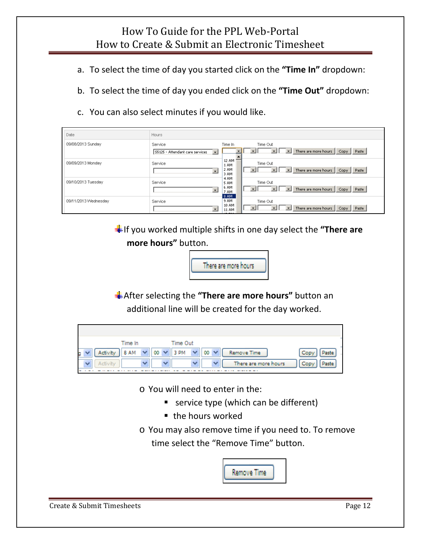- a. To select the time of day you started click on the **"Time In"** dropdown:
- b. To select the time of day you ended click on the **"Time Out"** dropdown:
- c. You can also select minutes if you would like.

| Date                 | Hours                                                                                                                               |
|----------------------|-------------------------------------------------------------------------------------------------------------------------------------|
| 09/08/2013 Sunday    | Service<br>Time In<br>Time Out<br>There are more hours<br>Paste<br>Copy  <br>S5125 - Attendant care services<br>$\vert \cdot \vert$ |
| 09/09/2013 Monday    | 12 AM<br>Time Out<br>Service<br>1 AM<br>2 AM<br>There are more hours<br>Paste<br>Copy  <br>$\overline{\mathbf{v}}$<br>3 AM          |
| 09/10/2013 Tuesday   | 4 AM<br>Time Out<br>Service<br>5 AM<br>6 AM<br>There are more hours<br>Copy   Paste<br>$\blacktriangledown$<br>7 AM<br>8 AM         |
| 09/11/2013 Wednesday | 9 AM<br>Time Out<br>Service<br>10 AM<br>There are more hours<br>Paste<br>Copy<br>11 AM                                              |

If you worked multiple shifts in one day select the **"There are more hours"** button.



After selecting the **"There are more hours"** button an additional line will be created for the day worked.

|   |          | Time In |    |              | Time Out |              |    |            |                      |              |
|---|----------|---------|----|--------------|----------|--------------|----|------------|----------------------|--------------|
| g | Activity | 8 AM    | 00 | $\checkmark$ | 3 PM     | $\checkmark$ | 00 |            | Remove Time          | Cop<br>Paste |
|   |          |         |    |              |          |              |    | <b>ALC</b> | There are more hours | Con          |
|   |          |         |    |              |          |              |    |            |                      |              |

o You will need to enter in the:

- **service type (which can be different)**
- the hours worked
- o You may also remove time if you need to. To remove time select the "Remove Time" button.



Create & Submit Timesheets **Page 12**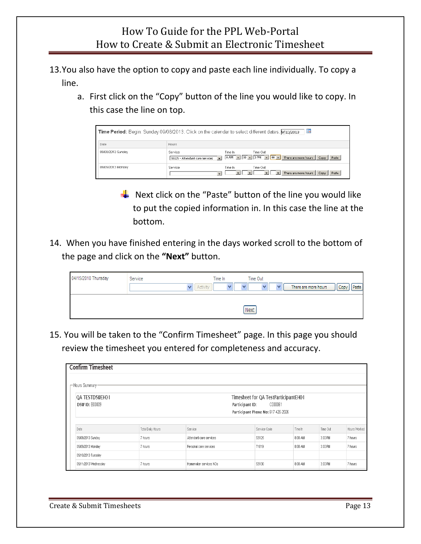- 13.You also have the option to copy and paste each line individually. To copy a line.
	- a. First click on the "Copy" button of the line you would like to copy. In this case the line on top.

| H<br><b>Time Period:</b> Begin: Sunday 09/08/2013. Click on the calendar to select different dates. 9/10/2013 |                                                                        |                                                                                   |
|---------------------------------------------------------------------------------------------------------------|------------------------------------------------------------------------|-----------------------------------------------------------------------------------|
| Date                                                                                                          | Hours.                                                                 |                                                                                   |
| 09/08/2013 Sunday                                                                                             | Service<br>$\overline{\phantom{a}}$<br>S5125 - Attendant care services | Time Out<br>Time In<br>8 AM V 00 v 3 PM v 00 v There are more hours Copy<br>Paste |
| 09/09/2013 Monday                                                                                             | Service<br>$\overline{\phantom{a}}$                                    | Time Out<br>Time In<br>There are more hours<br>Paste<br>Copy                      |

- $\frac{1}{2}$  Next click on the "Paste" button of the line you would like to put the copied information in. In this case the line at the bottom.
- 14. When you have finished entering in the days worked scroll to the bottom of the page and click on the **"Next"** button.

| 04/15/2010 Thursday | Service<br>$\overline{\mathsf{v}}$<br>Activity | Time In | Time Out<br>v | There are more hours<br>Copy<br>Paste |
|---------------------|------------------------------------------------|---------|---------------|---------------------------------------|
|                     |                                                |         | Next          |                                       |

15. You will be taken to the "Confirm Timesheet" page. In this page you should review the timesheet you entered for completeness and accuracy.

| <b>Confirm Timesheet</b>                |                   |                         |                                                                                                          |         |          |              |
|-----------------------------------------|-------------------|-------------------------|----------------------------------------------------------------------------------------------------------|---------|----------|--------------|
| -Hours Summary                          |                   |                         |                                                                                                          |         |          |              |
| QA TESTDSWEHO1<br><b>DSW ID: E00009</b> |                   |                         | Timesheet for QA TestParticipantEH01<br>Participant ID:<br>CO00061<br>Participant Phone No: 617-426-2026 |         |          |              |
| Date                                    | Total Daily Hours | Service                 | Service Code                                                                                             | Time In | Time Out | Hours Worked |
| 09/08/2013 Sunday                       | 7 hours           | Attendant care services | S5125                                                                                                    | 8:00 AM | 3:00 PM  | 7 hours      |
| 09/09/2013 Monday                       | 7 hours           | Personal care services  | T1019                                                                                                    | 8:00 AM | 3:00 PM  | 7 hours      |
| 09/10/2013 Tuesday                      |                   |                         |                                                                                                          |         |          |              |
| 09/11/2013 Wednesday                    | 7 hours           | Homemaker services NOs  | S5130                                                                                                    | 8:00 AM | 3:00 PM  | 7 hours      |

Create & Submit Timesheets Page 13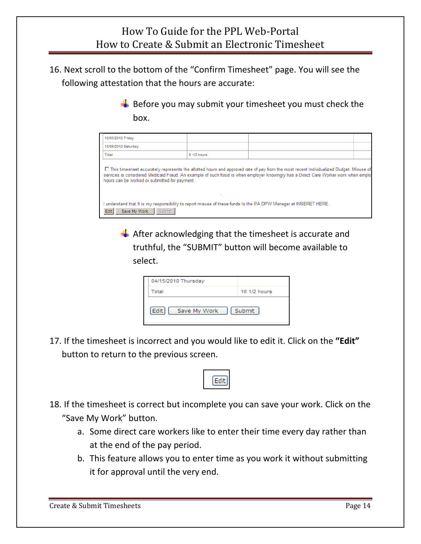16. Next scroll to the bottom of the "Confirm Timesheet" page. You will see the following attestation that the hours are accurate:

> $\frac{1}{2}$  Before you may submit your timesheet you must check the box.

| 10/05/2012 Friday                                                                                                                                                                                                                                                                                                                                                                                                                                     |             |  |  |  |  |
|-------------------------------------------------------------------------------------------------------------------------------------------------------------------------------------------------------------------------------------------------------------------------------------------------------------------------------------------------------------------------------------------------------------------------------------------------------|-------------|--|--|--|--|
| 10/06/2012 Saturday                                                                                                                                                                                                                                                                                                                                                                                                                                   |             |  |  |  |  |
| Total                                                                                                                                                                                                                                                                                                                                                                                                                                                 | 8 1/2 hours |  |  |  |  |
| □ This timesheet accurately represents the allotted hours and approved rate of pay from the most recent Individualized Budget. Misuse of<br>services is considered Medicaid Fraud. An example of such fraud is when employer knowingly has a Direct Care Worker work when employ<br>hours can be worked or submitted for payment.<br>I understand that It is my responsibility to report misuse of these funds to the PA DPW Manager at INSERET HERE. |             |  |  |  |  |
| <b>Edit</b><br>Save My Work<br>Submit                                                                                                                                                                                                                                                                                                                                                                                                                 |             |  |  |  |  |

 $\frac{1}{2}$  After acknowledging that the timesheet is accurate and truthful, the "SUBMIT" button will become available to select.

| 04/15/2010 Thursday  |              |
|----------------------|--------------|
| Total                | 16 1/2 hours |
| Save My Work<br>Edit | Submit       |

17. If the timesheet is incorrect and you would like to edit it. Click on the **"Edit"** button to return to the previous screen.



- 18. If the timesheet is correct but incomplete you can save your work. Click on the "Save My Work" button.
	- a. Some direct care workers like to enter their time every day rather than at the end of the pay period.
	- b. This feature allows you to enter time as you work it without submitting it for approval until the very end.

Create & Submit Timesheets Page 14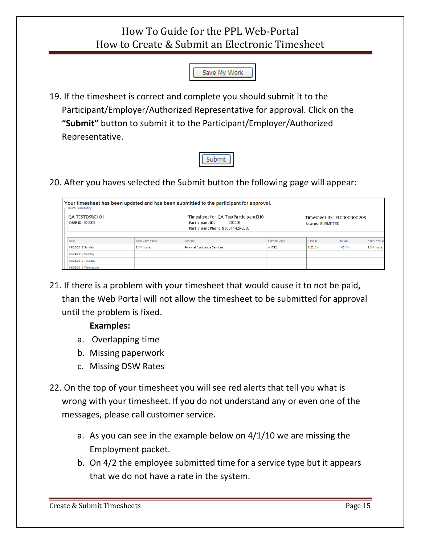

19. If the timesheet is correct and complete you should submit it to the Participant/Employer/Authorized Representative for approval. Click on the **"Submit"** button to submit it to the Participant/Employer/Authorized Representative.



20. After you haves selected the Submit button the following page will appear:

| <b>QA TESTDSWEH01</b><br>DSW ID: E00009 |                          | Timesheet for QA TestParticipantEH01<br>C000061<br>Participant ID:<br>Participant Phone No: 617-426-2026 |              | <b>Status: SUBMITTED</b> | Timesheet ID: FL0000000209 |                    |
|-----------------------------------------|--------------------------|----------------------------------------------------------------------------------------------------------|--------------|--------------------------|----------------------------|--------------------|
| Date                                    | <b>Total Daily Hours</b> | Service                                                                                                  | Service Code | Time In                  | Time Out                   | <b>Hours Worke</b> |
|                                         |                          |                                                                                                          |              |                          |                            |                    |
| 09/23/2012 Sunday                       | 2 3/4 hours              | Personal Assistance Services                                                                             | W1792        | 8:22 AM                  | 11:00 AM                   | 2 3/4 hours        |
| 09/24/2012 Monday                       |                          |                                                                                                          |              |                          |                            |                    |
| 09/25/2012 Tuesday                      |                          |                                                                                                          |              |                          |                            |                    |
| 09/26/2012 Wednesdav                    |                          |                                                                                                          |              |                          |                            |                    |

21. If there is a problem with your timesheet that would cause it to not be paid, than the Web Portal will not allow the timesheet to be submitted for approval until the problem is fixed.

#### Examples:

- a. Overlapping time
- b. Missing paperwork
- c. Missing DSW Rates
- 22. On the top of your timesheet you will see red alerts that tell you what is wrong with your timesheet. If you do not understand any or even one of the messages, please call customer service.
	- a. As you can see in the example below on 4/1/10 we are missing the Employment packet.
	- b. On 4/2 the employee submitted time for a service type but it appears that we do not have a rate in the system.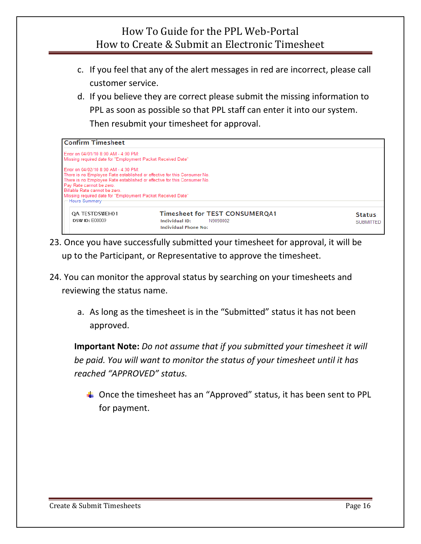- c. If you feel that any of the alert messages in red are incorrect, please call customer service.
- d. If you believe they are correct please submit the missing information to PPL as soon as possible so that PPL staff can enter it into our system. Then resubmit your timesheet for approval.

| <b>Confirm Timesheet</b>                                                                                                                                                                                                                                                                                                                    |                |                                                                                  |                                   |
|---------------------------------------------------------------------------------------------------------------------------------------------------------------------------------------------------------------------------------------------------------------------------------------------------------------------------------------------|----------------|----------------------------------------------------------------------------------|-----------------------------------|
| Error on 04/01/10 8:00 AM - 4:00 PM:<br>Missing required date for "Employment Packet Received Date"                                                                                                                                                                                                                                         |                |                                                                                  |                                   |
| Error on 04/02/10 8:00 AM - 4:30 PM:<br>There is no Employee Rate established or effective for this Consumer No.<br>There is no Employee Rate established or effective for this Consumer No.<br>Pay Rate cannot be zero.<br>Billable Rate cannot be zero.<br>Missing required date for "Employment Packet Received Date"<br>- Hours Summary |                |                                                                                  |                                   |
| OA TESTDSWEH01<br><b>DSW ID: E00009</b>                                                                                                                                                                                                                                                                                                     | Individual ID: | <b>Timesheet for TEST CONSUMERQA1</b><br>N9098002<br><b>Individual Phone No:</b> | <b>Status</b><br><b>SUBMITTED</b> |

- 23. Once you have successfully submitted your timesheet for approval, it will be up to the Participant, or Representative to approve the timesheet.
- 24. You can monitor the approval status by searching on your timesheets and reviewing the status name.
	- a. As long as the timesheet is in the "Submitted" status it has not been approved.

**Important Note:** *Do not assume that if you submitted your timesheet it will be paid. You will want to monitor the status of your timesheet until it has reached "APPROVED" status.* 

 $\triangleq$  Once the timesheet has an "Approved" status, it has been sent to PPL for payment.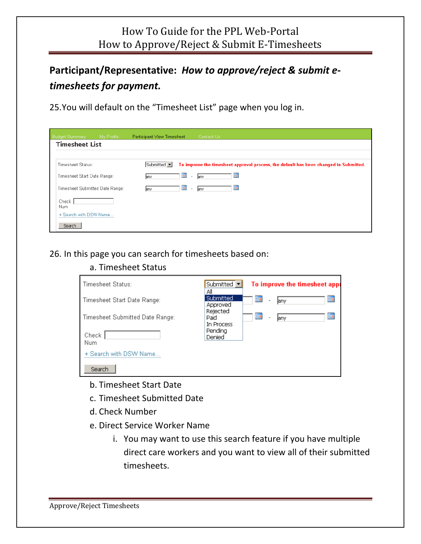## **Participant/Representative:** *How to approve/reject & submit e‐ timesheets for payment.*

25.You will default on the "Timesheet List" page when you log in.

| <b>Budget Summary</b><br>My Profile | Participant View Timesheet | Contact Us                                                                            |
|-------------------------------------|----------------------------|---------------------------------------------------------------------------------------|
| <b>Timesheet List</b>               |                            |                                                                                       |
|                                     |                            |                                                                                       |
| Timesheet Status:                   | Submitted v                | To improve the timesheet approval process, the default has been changed to Submitted. |
| Timesheet Start Date Range:         | any.                       | 亜<br>H<br>lany<br>$\overline{\phantom{a}}$                                            |
| Timesheet Submitted Date Range:     | any.                       | HH<br>▦<br>any<br>$\sim$                                                              |
| Check<br>Num                        |                            |                                                                                       |
| + Search with DSW Name              |                            |                                                                                       |
| Search                              |                            |                                                                                       |

26. In this page you can search for timesheets based on:

#### a. Timesheet Status

| Timesheet Status:               | Submitted $\blacktriangledown$<br>Αll | To improve the timesheet appr                   |
|---------------------------------|---------------------------------------|-------------------------------------------------|
| Timesheet Start Date Range:     | Submitted<br>Approved                 | Ħ<br>訷<br>jany.<br>$\overline{\phantom{a}}$     |
| Timesheet Submitted Date Range: | Rejected<br>Paid<br>In Process        | ▦<br>▦<br>jany.<br>$\qquad \qquad \blacksquare$ |
| Check<br>Num                    | Pending<br>Denied                     |                                                 |
| + Search with DSW Name.         |                                       |                                                 |
| Search                          |                                       |                                                 |

- b. Timesheet Start Date
- c. Timesheet Submitted Date
- d. Check Number
- e. Direct Service Worker Name
	- i. You may want to use this search feature if you have multiple direct care workers and you want to view all of their submitted timesheets.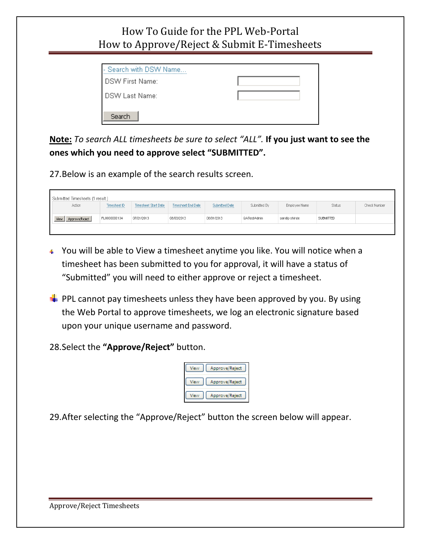| - Search with DSW Name |  |
|------------------------|--|
| <b>DSW First Name:</b> |  |
| DSW Last Name:         |  |
| Search                 |  |

**Note:** *To search ALL timesheets be sure to select "ALL".* **If you just want to see the ones which you need to approve select "SUBMITTED".** 

27.Below is an example of the search results screen.

| Submitted Timesheets (1 result.) |              |                             |                    |                |              |               |                  |              |
|----------------------------------|--------------|-----------------------------|--------------------|----------------|--------------|---------------|------------------|--------------|
| Action                           | Timesheet ID | <b>Timesheet Start Date</b> | Timesheet End Date | Submitted Date | Submitted By | Employee Name | Status           | Check Number |
| Approve/Reject<br>View           | FL0000000134 | 07/21/2013                  | 08/03/2013         | 08/01/2013     | QATestAdmin  | sandip shinde | <b>SUBMITTED</b> |              |
|                                  |              |                             |                    |                |              |               |                  |              |

- You will be able to View a timesheet anytime you like. You will notice when a timesheet has been submitted to you for approval, it will have a status of "Submitted" you will need to either approve or reject a timesheet.
- $\downarrow$  PPL cannot pay timesheets unless they have been approved by you. By using the Web Portal to approve timesheets, we log an electronic signature based upon your unique username and password.

28.Select the **"Approve/Reject"** button.

| Approve/Reject |
|----------------|
| Approve/Reject |
| Approve/Reject |

29.After selecting the "Approve/Reject" button the screen below will appear.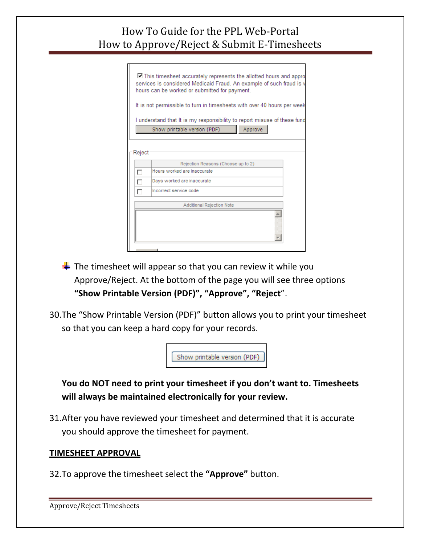|        | $\Box$ This timesheet accurately represents the allotted hours and appro<br>services is considered Medicaid Fraud. An example of such fraud is v<br>hours can be worked or submitted for payment. |  |  |  |
|--------|---------------------------------------------------------------------------------------------------------------------------------------------------------------------------------------------------|--|--|--|
|        | It is not permissible to turn in timesheets with over 40 hours per week                                                                                                                           |  |  |  |
|        | I understand that It is my responsibility to report misuse of these fund<br>Approve<br>Show printable version (PDF)                                                                               |  |  |  |
| Reject |                                                                                                                                                                                                   |  |  |  |
|        | Rejection Reasons (Choose up to 2)                                                                                                                                                                |  |  |  |
| г      | Hours worked are inaccurate                                                                                                                                                                       |  |  |  |
| г      | Days worked are inaccurate                                                                                                                                                                        |  |  |  |
|        | Incorrect service code                                                                                                                                                                            |  |  |  |
|        | Additional Rejection Note                                                                                                                                                                         |  |  |  |
|        |                                                                                                                                                                                                   |  |  |  |

- $\frac{1}{2}$  The timesheet will appear so that you can review it while you Approve/Reject. At the bottom of the page you will see three options **"Show Printable Version (PDF)", "Approve", "Reject**".
- 30.The "Show Printable Version (PDF)" button allows you to print your timesheet so that you can keep a hard copy for your records.



**You do NOT need to print your timesheet if you don't want to. Timesheets will always be maintained electronically for your review.** 

31.After you have reviewed your timesheet and determined that it is accurate you should approve the timesheet for payment.

#### **TIMESHEET APPROVAL**

32.To approve the timesheet select the **"Approve"** button.

Approve/Reject Timesheets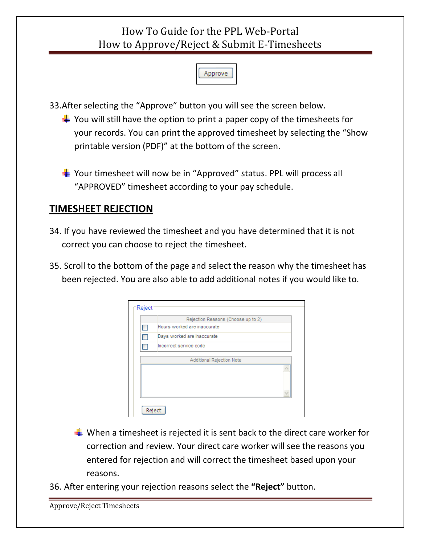

33.After selecting the "Approve" button you will see the screen below.

 $\downarrow$  You will still have the option to print a paper copy of the timesheets for your records. You can print the approved timesheet by selecting the "Show printable version (PDF)" at the bottom of the screen.

 $\frac{1}{2}$  Your timesheet will now be in "Approved" status. PPL will process all "APPROVED" timesheet according to your pay schedule.

#### **TIMESHEET REJECTION**

- 34. If you have reviewed the timesheet and you have determined that it is not correct you can choose to reject the timesheet.
- 35. Scroll to the bottom of the page and select the reason why the timesheet has been rejected. You are also able to add additional notes if you would like to.

| Reject                    |                                    |  |  |
|---------------------------|------------------------------------|--|--|
|                           | Rejection Reasons (Choose up to 2) |  |  |
|                           | Hours worked are inaccurate        |  |  |
|                           | Days worked are inaccurate         |  |  |
|                           | Incorrect service code             |  |  |
| Additional Rejection Note |                                    |  |  |
|                           |                                    |  |  |
|                           |                                    |  |  |
|                           |                                    |  |  |
| Reject                    |                                    |  |  |

- When a timesheet is rejected it is sent back to the direct care worker for correction and review. Your direct care worker will see the reasons you entered for rejection and will correct the timesheet based upon your reasons.
- 36. After entering your rejection reasons select the **"Reject"** button.

```
Approve/Reject Timesheets
```